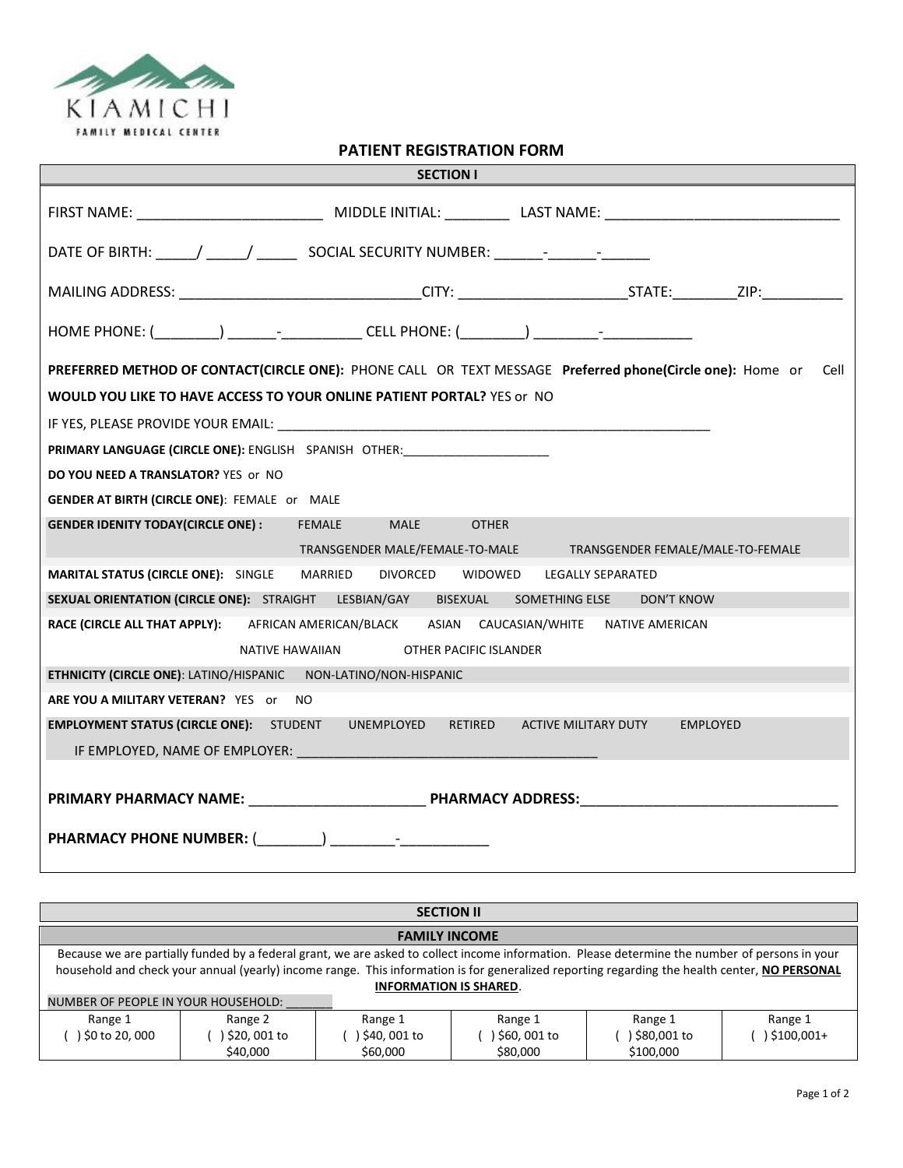

**PATIENT REGISTRATION FORM** 

| <b>SECTION I</b>                                                                                                                                                                                                               |
|--------------------------------------------------------------------------------------------------------------------------------------------------------------------------------------------------------------------------------|
|                                                                                                                                                                                                                                |
| DATE OF BIRTH: _____/ _____/ _________ SOCIAL SECURITY NUMBER: _______- _______- _                                                                                                                                             |
| MAILING ADDRESS: ________________________________CITY: __________________________STATE:__________ZIP:_________                                                                                                                 |
|                                                                                                                                                                                                                                |
| PREFERRED METHOD OF CONTACT(CIRCLE ONE): PHONE CALL OR TEXT MESSAGE Preferred phone(Circle one): Home or Cell                                                                                                                  |
| <b>WOULD YOU LIKE TO HAVE ACCESS TO YOUR ONLINE PATIENT PORTAL?</b> YES or NO                                                                                                                                                  |
|                                                                                                                                                                                                                                |
| PRIMARY LANGUAGE (CIRCLE ONE): ENGLISH SPANISH OTHER: __________________________                                                                                                                                               |
| DO YOU NEED A TRANSLATOR? YES or NO                                                                                                                                                                                            |
| <b>GENDER AT BIRTH (CIRCLE ONE): FEMALE OF MALE</b>                                                                                                                                                                            |
| GENDER IDENITY TODAY(CIRCLE ONE): FEMALE MALE<br><b>OTHER</b>                                                                                                                                                                  |
| TRANSGENDER MALE/FEMALE-TO-MALE TRANSGENDER FEMALE/MALE-TO-FEMALE                                                                                                                                                              |
| MARITAL STATUS (CIRCLE ONE): SINGLE MARRIED<br>DIVORCED WIDOWED LEGALLY SEPARATED                                                                                                                                              |
| SEXUAL ORIENTATION (CIRCLE ONE): STRAIGHT LESBIAN/GAY BISEXUAL SOMETHING ELSE<br>DON'T KNOW                                                                                                                                    |
| RACE (CIRCLE ALL THAT APPLY): AFRICAN AMERICAN/BLACK ASIAN CAUCASIAN/WHITE NATIVE AMERICAN                                                                                                                                     |
| NATIVE HAWAIIAN OTHER PACIFIC ISLANDER                                                                                                                                                                                         |
| ETHNICITY (CIRCLE ONE): LATINO/HISPANIC NON-LATINO/NON-HISPANIC                                                                                                                                                                |
| ARE YOU A MILITARY VETERAN? YES or NO                                                                                                                                                                                          |
| <b>EMPLOYMENT STATUS (CIRCLE ONE):</b> STUDENT UNEMPLOYED<br>RETIRED<br>ACTIVE MILITARY DUTY EMPLOYED                                                                                                                          |
| IF EMPLOYED, NAME OF EMPLOYER: And the contract of the contract of the contract of the contract of the contract of the contract of the contract of the contract of the contract of the contract of the contract of the contrac |
|                                                                                                                                                                                                                                |
|                                                                                                                                                                                                                                |
|                                                                                                                                                                                                                                |

| <b>SECTION II</b>                                                                                                                                                                                                                                                                                                                |                                    |                                       |                                       |                                       |                       |  |
|----------------------------------------------------------------------------------------------------------------------------------------------------------------------------------------------------------------------------------------------------------------------------------------------------------------------------------|------------------------------------|---------------------------------------|---------------------------------------|---------------------------------------|-----------------------|--|
| <b>FAMILY INCOME</b>                                                                                                                                                                                                                                                                                                             |                                    |                                       |                                       |                                       |                       |  |
| Because we are partially funded by a federal grant, we are asked to collect income information. Please determine the number of persons in your<br>household and check your annual (yearly) income range. This information is for generalized reporting regarding the health center, NO PERSONAL<br><b>INFORMATION IS SHARED.</b> |                                    |                                       |                                       |                                       |                       |  |
| NUMBER OF PEOPLE IN YOUR HOUSEHOLD:                                                                                                                                                                                                                                                                                              |                                    |                                       |                                       |                                       |                       |  |
| Range 1<br>) \$0 to 20, 000                                                                                                                                                                                                                                                                                                      | Range 2<br>\$20,001 to<br>\$40,000 | Range 1<br>) \$40, 001 to<br>\$60,000 | Range 1<br>) \$60, 001 to<br>\$80,000 | Range 1<br>) \$80,001 to<br>\$100,000 | Range 1<br>\$100,001+ |  |